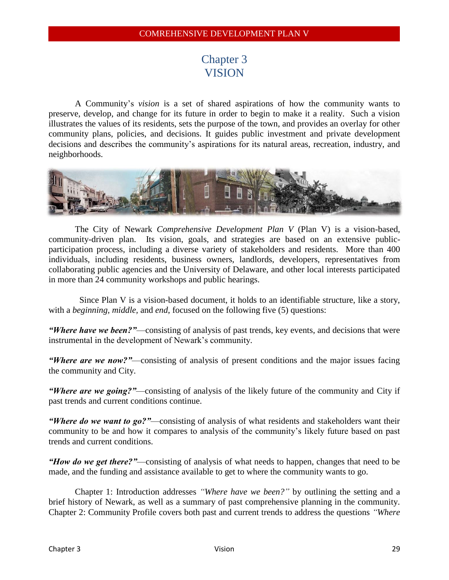# Chapter 3 **VISION**

A Community's *vision* is a set of shared aspirations of how the community wants to preserve, develop, and change for its future in order to begin to make it a reality. Such a vision illustrates the values of its residents, sets the purpose of the town, and provides an overlay for other community plans, policies, and decisions. It guides public investment and private development decisions and describes the community's aspirations for its natural areas, recreation, industry, and neighborhoods.



The City of Newark *Comprehensive Development Plan V* (Plan V) is a vision-based, community-driven plan. Its vision, goals, and strategies are based on an extensive publicparticipation process, including a diverse variety of stakeholders and residents. More than 400 individuals, including residents, business owners, landlords, developers, representatives from collaborating public agencies and the University of Delaware, and other local interests participated in more than 24 community workshops and public hearings.

 Since Plan V is a vision-based document, it holds to an identifiable structure, like a story, with a *beginning, middle,* and *end*, focused on the following five (5) questions:

*"Where have we been?"*—consisting of analysis of past trends, key events, and decisions that were instrumental in the development of Newark's community.

*"Where are we now?"*—consisting of analysis of present conditions and the major issues facing the community and City.

*"Where are we going?"*—consisting of analysis of the likely future of the community and City if past trends and current conditions continue.

*"Where do we want to go?"*—consisting of analysis of what residents and stakeholders want their community to be and how it compares to analysis of the community's likely future based on past trends and current conditions.

*"How do we get there?"*—consisting of analysis of what needs to happen, changes that need to be made, and the funding and assistance available to get to where the community wants to go.

Chapter 1: Introduction addresses *"Where have we been?"* by outlining the setting and a brief history of Newark, as well as a summary of past comprehensive planning in the community. Chapter 2: Community Profile covers both past and current trends to address the questions *"Where*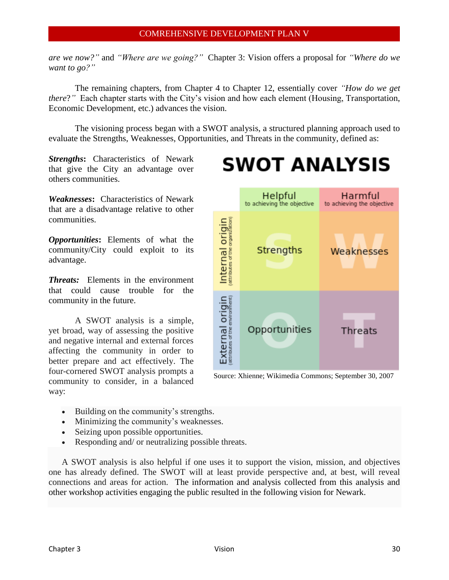*are we now?"* and *"Where are we going?"* Chapter 3: Vision offers a proposal for *"Where do we want to go?"*

The remaining chapters, from Chapter 4 to Chapter 12, essentially cover *"How do we get there?*" Each chapter starts with the City's vision and how each element (Housing, Transportation, Economic Development, etc.) advances the vision.

The visioning process began with a SWOT analysis, a structured planning approach used to evaluate the Strengths, Weaknesses, Opportunities, and Threats in the community, defined as:

*Strengths***:** Characteristics of Newark that give the City an advantage over others communities.

*Weaknesses***:** Characteristics of Newark that are a disadvantage relative to other communities.

*Opportunities***:** Elements of what the community/City could exploit to its advantage.

*Threats:* Elements in the environment that could cause trouble for the community in the future.

A SWOT analysis is a simple, yet broad, way of assessing the positive and negative internal and external forces affecting the community in order to better prepare and act effectively. The four-cornered SWOT analysis prompts a community to consider, in a balanced way:



**SWOT ANALYSIS** 

Harmful

Helpful

Source: Xhienne; Wikimedia Commons; September 30, 2007

- Building on the community's strengths.
- Minimizing the community's weaknesses.
- Seizing upon possible opportunities.
- Responding and/ or neutralizing possible threats.

A SWOT analysis is also helpful if one uses it to support the vision, mission, and objectives one has already defined. The SWOT will at least provide perspective and, at best, will reveal connections and areas for action. The information and analysis collected from this analysis and other workshop activities engaging the public resulted in the following vision for Newark.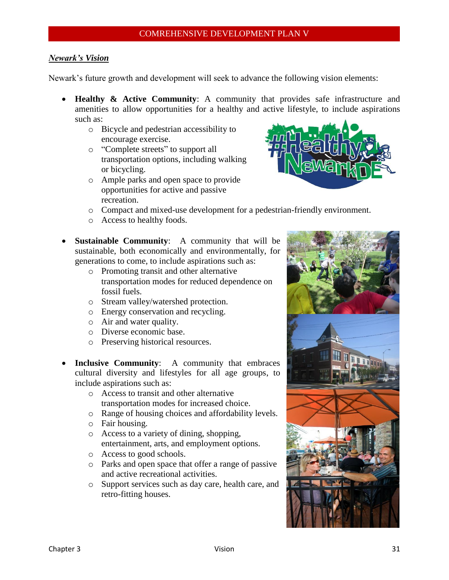# *Newark's Vision*

Newark's future growth and development will seek to advance the following vision elements:

- **Healthy & Active Community**: A community that provides safe infrastructure and amenities to allow opportunities for a healthy and active lifestyle, to include aspirations such as:
	- o Bicycle and pedestrian accessibility to encourage exercise.
	- o "Complete streets" to support all transportation options, including walking or bicycling.
	- o Ample parks and open space to provide opportunities for active and passive recreation.



- o Compact and mixed-use development for a pedestrian-friendly environment.
- o Access to healthy foods.
- **Sustainable Community**: A community that will be sustainable, both economically and environmentally, for generations to come, to include aspirations such as:
	- o Promoting transit and other alternative transportation modes for reduced dependence on fossil fuels.
	- o Stream valley/watershed protection.
	- o Energy conservation and recycling.
	- o Air and water quality.
	- o Diverse economic base.
	- o Preserving historical resources.
- **Inclusive Community**:A community that embraces cultural diversity and lifestyles for all age groups, to include aspirations such as:
	- o Access to transit and other alternative transportation modes for increased choice.
	- o Range of housing choices and affordability levels.
	- o Fair housing.
	- o Access to a variety of dining, shopping, entertainment, arts, and employment options.
	- o Access to good schools.
	- o Parks and open space that offer a range of passive and active recreational activities.
	- o Support services such as day care, health care, and retro-fitting houses.

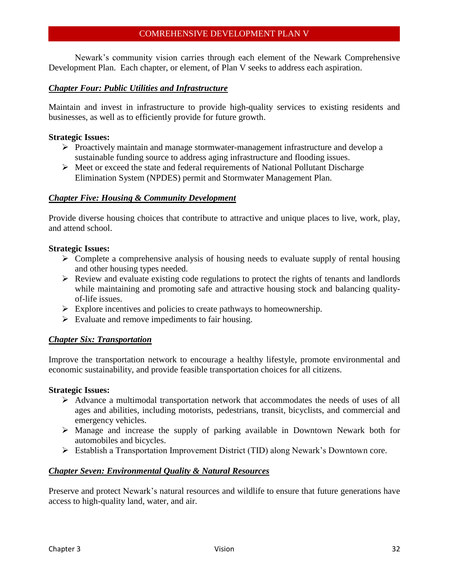Newark's community vision carries through each element of the Newark Comprehensive Development Plan. Each chapter, or element, of Plan V seeks to address each aspiration.

# *Chapter Four: Public Utilities and Infrastructure*

Maintain and invest in infrastructure to provide high-quality services to existing residents and businesses, as well as to efficiently provide for future growth.

# **Strategic Issues:**

- $\triangleright$  Proactively maintain and manage stormwater-management infrastructure and develop a sustainable funding source to address aging infrastructure and flooding issues.
- $\triangleright$  Meet or exceed the state and federal requirements of National Pollutant Discharge Elimination System (NPDES) permit and Stormwater Management Plan.

# *Chapter Five: Housing & Community Development*

Provide diverse housing choices that contribute to attractive and unique places to live, work, play, and attend school.

# **Strategic Issues:**

- $\triangleright$  Complete a comprehensive analysis of housing needs to evaluate supply of rental housing and other housing types needed.
- $\triangleright$  Review and evaluate existing code regulations to protect the rights of tenants and landlords while maintaining and promoting safe and attractive housing stock and balancing qualityof-life issues.
- $\triangleright$  Explore incentives and policies to create pathways to homeownership.
- $\triangleright$  Evaluate and remove impediments to fair housing.

# *Chapter Six: Transportation*

Improve the transportation network to encourage a healthy lifestyle, promote environmental and economic sustainability, and provide feasible transportation choices for all citizens.

# **Strategic Issues:**

- $\triangleright$  Advance a multimodal transportation network that accommodates the needs of uses of all ages and abilities, including motorists, pedestrians, transit, bicyclists, and commercial and emergency vehicles.
- $\triangleright$  Manage and increase the supply of parking available in Downtown Newark both for automobiles and bicycles.
- Establish a Transportation Improvement District (TID) along Newark's Downtown core.

# *Chapter Seven: Environmental Quality & Natural Resources*

Preserve and protect Newark's natural resources and wildlife to ensure that future generations have access to high-quality land, water, and air.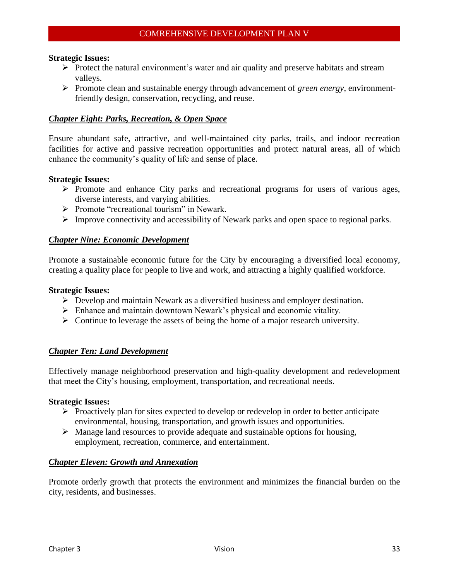#### **Strategic Issues:**

- $\triangleright$  Protect the natural environment's water and air quality and preserve habitats and stream valleys.
- Promote clean and sustainable energy through advancement of *green energy*, environmentfriendly design, conservation, recycling, and reuse.

# *Chapter Eight: Parks, Recreation, & Open Space*

Ensure abundant safe, attractive, and well-maintained city parks, trails, and indoor recreation facilities for active and passive recreation opportunities and protect natural areas, all of which enhance the community's quality of life and sense of place.

#### **Strategic Issues:**

- $\triangleright$  Promote and enhance City parks and recreational programs for users of various ages, diverse interests, and varying abilities.
- $\triangleright$  Promote "recreational tourism" in Newark.
- $\triangleright$  Improve connectivity and accessibility of Newark parks and open space to regional parks.

#### *Chapter Nine: Economic Development*

Promote a sustainable economic future for the City by encouraging a diversified local economy, creating a quality place for people to live and work, and attracting a highly qualified workforce.

#### **Strategic Issues:**

- $\triangleright$  Develop and maintain Newark as a diversified business and employer destination.
- $\triangleright$  Enhance and maintain downtown Newark's physical and economic vitality.
- $\triangleright$  Continue to leverage the assets of being the home of a major research university.

#### *Chapter Ten: Land Development*

Effectively manage neighborhood preservation and high-quality development and redevelopment that meet the City's housing, employment, transportation, and recreational needs.

#### **Strategic Issues:**

- $\triangleright$  Proactively plan for sites expected to develop or redevelop in order to better anticipate environmental, housing, transportation, and growth issues and opportunities.
- $\triangleright$  Manage land resources to provide adequate and sustainable options for housing, employment, recreation, commerce, and entertainment.

#### *Chapter Eleven: Growth and Annexation*

Promote orderly growth that protects the environment and minimizes the financial burden on the city, residents, and businesses.